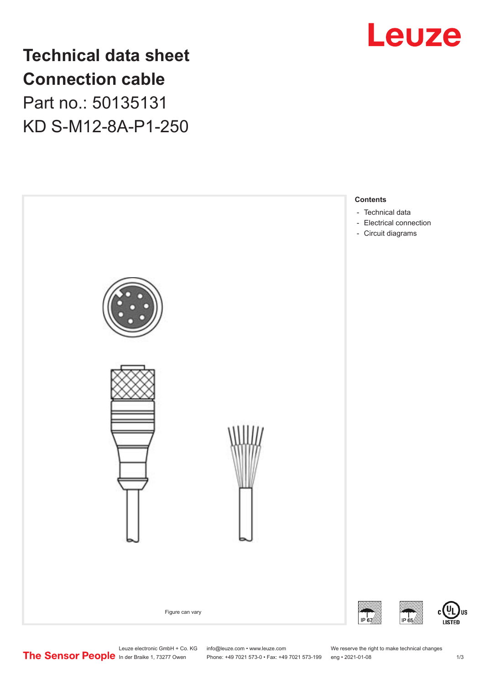

**Technical data sheet Connection cable** Part no.: 50135131

KD S-M12-8A-P1-250



Leuze electronic GmbH + Co. KG info@leuze.com • www.leuze.com We reserve the right to make technical changes<br>
The Sensor People in der Braike 1, 73277 Owen Phone: +49 7021 573-0 • Fax: +49 7021 573-199 eng • 2021-01-08

Phone: +49 7021 573-0 • Fax: +49 7021 573-199 eng • 2021-01-08 1 m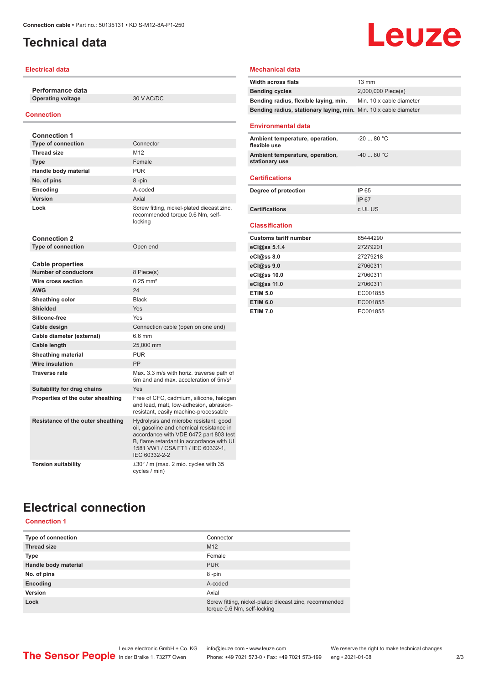## <span id="page-1-0"></span>**Technical data**

### **Electrical data**

**Performance data Operating voltage** 30 V AC/DC

#### **Connection**

| <b>Connection 1</b>               |                                                                                                                                                                                                                                |
|-----------------------------------|--------------------------------------------------------------------------------------------------------------------------------------------------------------------------------------------------------------------------------|
| <b>Type of connection</b>         | Connector                                                                                                                                                                                                                      |
| <b>Thread size</b>                | M12                                                                                                                                                                                                                            |
| <b>Type</b>                       | Female                                                                                                                                                                                                                         |
| Handle body material              | <b>PUR</b>                                                                                                                                                                                                                     |
| No. of pins                       | 8-pin                                                                                                                                                                                                                          |
| Encoding                          | A-coded                                                                                                                                                                                                                        |
| Version                           | Axial                                                                                                                                                                                                                          |
| Lock                              | Screw fitting, nickel-plated diecast zinc,<br>recommended torque 0.6 Nm, self-<br>locking                                                                                                                                      |
| <b>Connection 2</b>               |                                                                                                                                                                                                                                |
| <b>Type of connection</b>         | Open end                                                                                                                                                                                                                       |
|                                   |                                                                                                                                                                                                                                |
| <b>Cable properties</b>           |                                                                                                                                                                                                                                |
| <b>Number of conductors</b>       | 8 Piece(s)                                                                                                                                                                                                                     |
| Wire cross section                | $0.25$ mm <sup>2</sup>                                                                                                                                                                                                         |
| <b>AWG</b>                        | 24                                                                                                                                                                                                                             |
| Sheathing color                   | <b>Black</b>                                                                                                                                                                                                                   |
| <b>Shielded</b>                   | Yes                                                                                                                                                                                                                            |
| Silicone-free                     | Yes                                                                                                                                                                                                                            |
| Cable design                      | Connection cable (open on one end)                                                                                                                                                                                             |
| Cable diameter (external)         | 6.6 mm                                                                                                                                                                                                                         |
| Cable length                      | 25.000 mm                                                                                                                                                                                                                      |
| <b>Sheathing material</b>         | <b>PUR</b>                                                                                                                                                                                                                     |
| Wire insulation                   | PP                                                                                                                                                                                                                             |
| <b>Traverse rate</b>              | Max. 3.3 m/s with horiz. traverse path of<br>5m and and max, acceleration of 5m/s <sup>2</sup>                                                                                                                                 |
| Suitability for drag chains       | Yes                                                                                                                                                                                                                            |
| Properties of the outer sheathing | Free of CFC, cadmium, silicone, halogen<br>and lead, matt, low-adhesion, abrasion-<br>resistant, easily machine-processable                                                                                                    |
| Resistance of the outer sheathing | Hydrolysis and microbe resistant, good<br>oil, gasoline and chemical resistance in<br>accordance with VDE 0472 part 803 test<br>B. flame retardant in accordance with UL<br>1581 VW1 / CSA FT1 / IEC 60332-1,<br>IEC 60332-2-2 |
| <b>Torsion suitability</b>        | $\pm 30^\circ$ / m (max. 2 mio. cycles with 35<br>cycles / min)                                                                                                                                                                |

#### **Mechanical data**

| <b>Width across flats</b>                                        | $13 \text{ mm}$          |
|------------------------------------------------------------------|--------------------------|
| <b>Bending cycles</b>                                            | 2,000,000 Piece(s)       |
| Bending radius, flexible laying, min.                            | Min. 10 x cable diameter |
| Bending radius, stationary laying, min. Min. 10 x cable diameter |                          |
|                                                                  |                          |
| <b>Environmental data</b>                                        |                          |
| Ambient temperature, operation,<br>flexible use                  | $-2080 °C$               |
| Ambient temperature, operation,<br>stationary use                | $-4080 °C$               |
| <b>Certifications</b>                                            |                          |
| Degree of protection                                             | IP 65                    |
|                                                                  |                          |
|                                                                  | <b>IP67</b>              |
| <b>Certifications</b>                                            | c UL US                  |
| <b>Classification</b>                                            |                          |
|                                                                  |                          |
| <b>Customs tariff number</b>                                     | 85444290                 |
| eCl@ss 5.1.4                                                     | 27279201<br>27279218     |
| eCl@ss 8.0                                                       | 27060311                 |
| eCl@ss 9.0<br>eCl@ss 10.0                                        | 27060311                 |
| eCl@ss 11.0                                                      | 27060311                 |
| <b>ETIM 5.0</b>                                                  | EC001855                 |
| <b>ETIM 6.0</b>                                                  | EC001855                 |

**Leuze** 

# **Electrical connection**

## **Connection 1**

| Type of connection   | Connector                                                                             |
|----------------------|---------------------------------------------------------------------------------------|
| <b>Thread size</b>   | M <sub>12</sub>                                                                       |
| <b>Type</b>          | Female                                                                                |
| Handle body material | <b>PUR</b>                                                                            |
| No. of pins          | 8-pin                                                                                 |
| Encoding             | A-coded                                                                               |
| <b>Version</b>       | Axial                                                                                 |
| Lock                 | Screw fitting, nickel-plated diecast zinc, recommended<br>torque 0.6 Nm, self-locking |